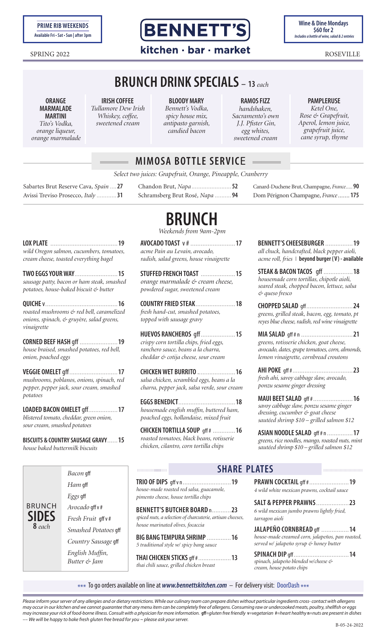

**Wine & Dine Mondays**

### SPRING 2022 **Roseville Roseville**

# **BRUNCH DRINK SPECIALS – <sup>13</sup>***each*

**ORANGE MARMALADE MARTINI**

*Tito's Vodka, orange liqueur, orange marmalade*

**IRISH COFFEE** *Tullamore Dew Irish Whiskey, coffee, sweetened cream*

**BLOODY MARY** *Bennett's Vodka, spicy house mix, antipasto garnish, candied bacon*

**RAMOS FIZZ** *handshaken, Sacramento's own J.J. Pfister Gin, egg whites, sweetened cream*

**PAMPLERUSE** *Ketel One, Rose & Grapefruit, Aperol, lemon juice, grapefruit juice, cane syrup, thyme*

Canard-Duchene Brut, Champagne, *France.....* **90** Dom Pérignon Champagne, *France.......* **175**

**BENNETT'S CHEESEBURGER** ................**19**

|  | <b>MIMOSA BOTTLE SERVICE</b> |
|--|------------------------------|
|  |                              |

Chandon Brut, *Napa ........................* **52** Schramsberg Brut Rosé*, Napa ..........* **94**

*Select two juices: Grapefruit, Orange, Pineapple, Cranberry*

Sabartes Brut Reserve Cava*, Spain ....* **27** Avissi Treviso Prosecco*, Italy ............* **31**

**BRUNCH**

*Weekends from 9am-2pm*

| -19<br>wild Oregon salmon, cucumbers, tomatoes,<br>cream cheese, toasted everything bagel                       | AVOCADO TOAST v # 17<br>acme Pain au Levain, avocado,<br>radish, salad greens, house vinaigrette                                                      |  |  |
|-----------------------------------------------------------------------------------------------------------------|-------------------------------------------------------------------------------------------------------------------------------------------------------|--|--|
| TWO EGGS YOUR WAY<br>15<br>sausage patty, bacon or ham steak, smashed<br>potatoes, house-baked biscuit & butter | STUFFED FRENCH TOAST<br>15<br>orange marmalade & cream cheese,<br>powdered sugar, sweetened cream                                                     |  |  |
| roasted mushrooms & red bell, caramelized<br>onions, spinach, & gruyère, salad greens,<br>vinaigrette           | COUNTRY FRIED STEAK18<br>fresh hand-cut, smashed potatoes,<br>topped with sausage gravy                                                               |  |  |
| <b>CORNED BEEF HASH gff 19</b><br>house braised, smashed potatoes, red bell,<br>onion, poached eggs             | <b>HUEVOS RANCHEROS</b> qff15<br>crispy corn tortilla chips, fried eggs,<br>ranchero sauce, beans a la charra,<br>cheddar & cotija cheese, sour cream |  |  |
| mushrooms, poblanos, onions, spinach, red<br>pepper, pepper jack, sour cream, smashed                           | CHICKEN WET BURRITO  16<br>salsa chicken, scrambled eggs, beans a la<br>charra, pepper jack, salsa verde, sour cream                                  |  |  |

**EGGS BENEDICT**.................................**18** *housemade english muffin, buttered ham, poached eggs, hollandaise, mixed fruit*

**CHICKEN TORTILLA SOUP** gff # .............**16** *roasted tomatoes, black beans, rotisserie chicken, cilantro, corn tortilla chips*

| 1, avocado,                                 | all chuck, handcrafted, black pepper aioli,                                                                                              |  |  |
|---------------------------------------------|------------------------------------------------------------------------------------------------------------------------------------------|--|--|
| house vinaigrette                           | acme roll, fries   beyond burger (V) - availabl                                                                                          |  |  |
| AST 15<br>t & cream cheese,<br>etened cream | STEAK & BACON TACOS gff 18<br>housemade corn tortillas, chipotle aioli,<br>seared steak, chopped bacon, lettuce, salsa<br>& queso fresco |  |  |
| AK18                                        | CHOPPED SALAD gff24                                                                                                                      |  |  |
| hed potatoes,                               | greens, grilled steak, bacon, egg, tomato, pt                                                                                            |  |  |

*reyes blue cheese, radish, red wine vinaigrette* **MIA SALAD** gff # n ..............................**21** *greens, rotisserie chicken, goat cheese, avocado, dates, grape tomatoes, corn, almonds, lemon vinaigrette, cornbread croutons*

**AHI POKE** gff #...................................**23** *fresh ahi, savoy cabbage slaw, avocado, ponzu sesame ginger dressing*

**MAUI BEET SALAD** gff #.......................**16** *savoy cabbage slaw, ponzu sesame ginger dressing, cucumber & goat cheese sautéed shrimp \$10 – grilled salmon \$12*

**ASIAN NOODLE SALAD** gff # n ...............**17** *greens, rice noodles, mango, roasted nuts, mint sautéed shrimp \$10 – grilled salmon \$12*

### 

**TRIO OF DIPS** gff v n............................**19** *house-made roasted red salsa, guacamole, pimento cheese, house tortilla chips*

**BENNETT'S BUTCHER BOARD** n...........**23** *spiced nuts, a selection of charcuterie, artisan cheeses, house marinated olives, focaccia*

**BIG BANG TEMPURA SHRIMP** ..............**16** *5 traditional style w/ spicy bang sauce*

**THAI CHICKEN STICKS** gff #...................**13** *thai chili sauce, grilled chicken breast*

### **SHARE PLATES**

**PRAWN COCKTAIL** gff #.......................**19** *4 wild white mexican prawns, cocktail sauce*

**SALT & PEPPER PRAWNS**...................**23** *6 wild mexican jumbo prawns lightly fried, tarragon aioli*

**JALAPEÑO CORNBREAD** gff ................**14** *house-made creamed corn, jalapeños, pan roasted, served w/ jalapeño syrup & honey butter* 

**SPINACH DIP** gff................................**14** *spinach, jalapeño blended w/cheese & cream, house potato chips*

\*\*\* To go orders available on line at *www.bennettskitchen.com* – For delivery visit: DoorDash \*\*\*

*Please inform your server of any allergies and or dietary restrictions. While our culinary team can prepare dishes without particular ingredients cross- contact with allergens may occur in our kitchen and we cannot guarantee that any menu item can be completely free of allergens. Consuming raw or undercooked meats, poultry, shellfish or eggs*  may increase your rick of food-borne illness. Consult with a physician for more information. gff=gluten free friendly v=vegetarian #=heart healthy n=nuts are present in dishes *–– We will be happy to bake fresh gluten free bread for you ~ please ask your server.* 

**VEGGIE OMELET** gff............................**17**  $mu$ shrooms, poblanos, onions, spina *pepper, pepper jack, sour cream, smashed potatoes*

**LOADED BACON OMELET** gff.................**17** *blistered tomato, cheddar, green onion, sour cream, smashed potatoes*

**BISCUITS & COUNTRY SAUSAGE GRAVY**......**15** *house baked buttermilk biscuits*

> *Bacon* gff *Ham* gff *Eggs* gff *Avocado* gff v # *Fresh Fruit* gff v # *Smashed Potatoes* gff *Country Sausage* gff *English Muffin, Butter & Jam*

BRUNCH **SIDES 8** *each*